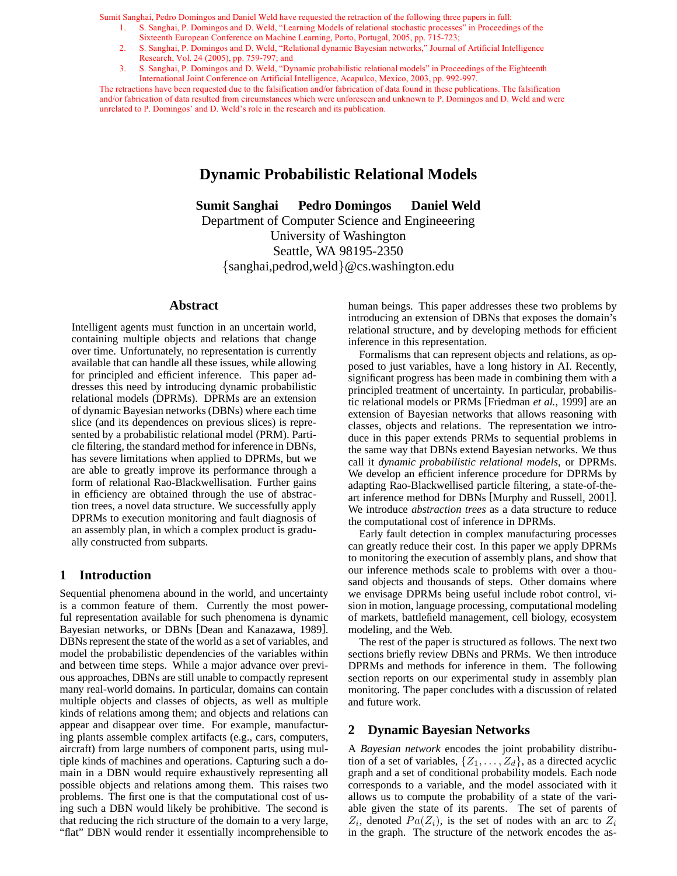- 1. S. Sanghai, P. Domingos and D. Weld, "Learning Models of relational stochastic processes" in Proceedings of the Sixteenth European Conference on Machine Learning, Porto, Portugal, 2005, pp. 715-723;
- 2. S. Sanghai, P. Domingos and D. Weld, "Relational dynamic Bayesian networks," Journal of Artificial Intelligence Research, Vol. 24 (2005), pp. 759-797; and
- 3. S. Sanghai, P. Domingos and D. Weld, "Dynamic probabilistic relational models" in Proceedings of the Eighteenth International Joint Conference on Artificial Intelligence, Acapulco, Mexico, 2003, pp. 992-997.

The retractions have been requested due to the falsification and/or fabrication of data found in these publications. The falsification and/or fabrication of data resulted from circumstances which were unforeseen and unknown to P. Domingos and D. Weld and were unrelated to P. Domingos' and D. Weld's role in the research and its publication.

# **Dynamic Probabilistic Relational Models**

**Sumit Sanghai Pedro Domingos Daniel Weld** Department of Computer Science and Engineeering University of Washington Seattle, WA 98195-2350 {sanghai,pedrod,weld}@cs.washington.edu

#### **Abstract**

Intelligent agents must function in an uncertain world, containing multiple objects and relations that change over time. Unfortunately, no representation is currently available that can handle all these issues, while allowing for principled and efficient inference. This paper addresses this need by introducing dynamic probabilistic relational models (DPRMs). DPRMs are an extension of dynamic Bayesian networks (DBNs) where each time slice (and its dependences on previous slices) is represented by a probabilistic relational model (PRM). Particle filtering, the standard method for inference in DBNs, has severe limitations when applied to DPRMs, but we are able to greatly improve its performance through a form of relational Rao-Blackwellisation. Further gains in efficiency are obtained through the use of abstraction trees, a novel data structure. We successfully apply DPRMs to execution monitoring and fault diagnosis of an assembly plan, in which a complex product is gradually constructed from subparts.

### **1 Introduction**

Sequential phenomena abound in the world, and uncertainty is a common feature of them. Currently the most powerful representation available for such phenomena is dynamic Bayesian networks, or DBNs [Dean and Kanazawa, 1989]. DBNs represent the state of the world as a set of variables, and model the probabilistic dependencies of the variables within and between time steps. While a major advance over previous approaches, DBNs are still unable to compactly represent many real-world domains. In particular, domains can contain multiple objects and classes of objects, as well as multiple kinds of relations among them; and objects and relations can appear and disappear over time. For example, manufacturing plants assemble complex artifacts (e.g., cars, computers, aircraft) from large numbers of component parts, using multiple kinds of machines and operations. Capturing such a domain in a DBN would require exhaustively representing all possible objects and relations among them. This raises two problems. The first one is that the computational cost of using such a DBN would likely be prohibitive. The second is that reducing the rich structure of the domain to a very large, "flat" DBN would render it essentially incomprehensible to human beings. This paper addresses these two problems by introducing an extension of DBNs that exposes the domain's relational structure, and by developing methods for efficient inference in this representation.

Formalisms that can represent objects and relations, as opposed to just variables, have a long history in AI. Recently, significant progress has been made in combining them with a principled treatment of uncertainty. In particular, probabilistic relational models or PRMs [Friedman *et al.*, 1999] are an extension of Bayesian networks that allows reasoning with classes, objects and relations. The representation we introduce in this paper extends PRMs to sequential problems in the same way that DBNs extend Bayesian networks. We thus call it *dynamic probabilistic relational models*, or DPRMs. We develop an efficient inference procedure for DPRMs by adapting Rao-Blackwellised particle filtering, a state-of-theart inference method for DBNs [Murphy and Russell, 2001]. We introduce *abstraction trees* as a data structure to reduce the computational cost of inference in DPRMs.

Early fault detection in complex manufacturing processes can greatly reduce their cost. In this paper we apply DPRMs to monitoring the execution of assembly plans, and show that our inference methods scale to problems with over a thousand objects and thousands of steps. Other domains where we envisage DPRMs being useful include robot control, vision in motion, language processing, computational modeling of markets, battlefield management, cell biology, ecosystem modeling, and the Web.

The rest of the paper is structured as follows. The next two sections briefly review DBNs and PRMs. We then introduce DPRMs and methods for inference in them. The following section reports on our experimental study in assembly plan monitoring. The paper concludes with a discussion of related and future work.

## **2 Dynamic Bayesian Networks**

A *Bayesian network* encodes the joint probability distribution of a set of variables,  $\{Z_1, \ldots, Z_d\}$ , as a directed acyclic graph and a set of conditional probability models. Each node corresponds to a variable, and the model associated with it allows us to compute the probability of a state of the variable given the state of its parents. The set of parents of  $Z_i$ , denoted  $Pa(Z_i)$ , is the set of nodes with an arc to  $Z_i$ in the graph. The structure of the network encodes the as-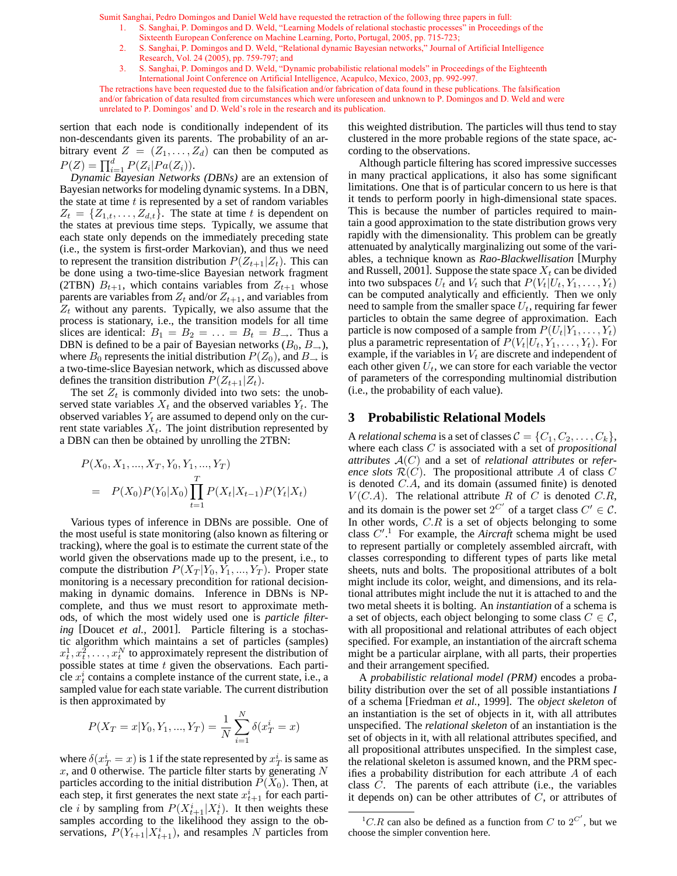- 1. S. Sanghai, P. Domingos and D. Weld, "Learning Models of relational stochastic processes" in Proceedings of the Sixteenth European Conference on Machine Learning, Porto, Portugal, 2005, pp. 715-723;
- 2. S. Sanghai, P. Domingos and D. Weld, "Relational dynamic Bayesian networks," Journal of Artificial Intelligence Research, Vol. 24 (2005), pp. 759-797; and
- 3. S. Sanghai, P. Domingos and D. Weld, "Dynamic probabilistic relational models" in Proceedings of the Eighteenth International Joint Conference on Artificial Intelligence, Acapulco, Mexico, 2003, pp. 992-997.

The retractions have been requested due to the falsification and/or fabrication of data found in these publications. The falsification and/or fabrication of data resulted from circumstances which were unforeseen and unknown to P. Domingos and D. Weld and were unrelated to P. Domingos' and D. Weld's role in the research and its publication.

sertion that each node is conditionally independent of its non-descendants given its parents. The probability of an arbitrary event  $Z = (Z_1, \ldots, Z_d)$  can then be computed as  $P(Z) = \prod_{i=1}^{d} P(Z_i | Pa(Z_i)).$ 

*Dynamic Bayesian Networks (DBNs)* are an extension of Bayesian networks for modeling dynamic systems. In a DBN, the state at time  $t$  is represented by a set of random variables  $Z_t = \{Z_{1,t}, \ldots, Z_{d,t}\}.$  The state at time t is dependent on the states at previous time steps. Typically, we assume that each state only depends on the immediately preceding state (i.e., the system is first-order Markovian), and thus we need to represent the transition distribution  $P(Z_{t+1}|Z_t)$ . This can be done using a two-time-slice Bayesian network fragment (2TBN)  $B_{t+1}$ , which contains variables from  $Z_{t+1}$  whose parents are variables from  $Z_t$  and/or  $Z_{t+1}$ , and variables from  $Z_t$  without any parents. Typically, we also assume that the process is stationary, i.e., the transition models for all time slices are identical:  $B_1 = B_2 = \ldots = B_t = B_\rightarrow$ . Thus a DBN is defined to be a pair of Bayesian networks  $(B_0, B_{\rightarrow})$ , where  $B_0$  represents the initial distribution  $P(Z_0)$ , and  $B_{\rightarrow}$  is a two-time-slice Bayesian network, which as discussed above defines the transition distribution  $P(Z_{t+1}|Z_t)$ .

The set  $Z_t$  is commonly divided into two sets: the unobserved state variables  $X_t$  and the observed variables  $Y_t$ . The observed variables  $Y_t$  are assumed to depend only on the current state variables  $X_t$ . The joint distribution represented by a DBN can then be obtained by unrolling the 2TBN:

$$
P(X_0, X_1, ..., X_T, Y_0, Y_1, ..., Y_T)
$$
  
=  $P(X_0)P(Y_0|X_0)\prod_{t=1}^T P(X_t|X_{t-1})P(Y_t|X_t)$ 

Various types of inference in DBNs are possible. One of the most useful is state monitoring (also known as filtering or tracking), where the goal is to estimate the current state of the world given the observations made up to the present, i.e., to compute the distribution  $P(X_T | Y_0, Y_1, ..., Y_T)$ . Proper state monitoring is a necessary precondition for rational decisionmaking in dynamic domains. Inference in DBNs is NPcomplete, and thus we must resort to approximate methods, of which the most widely used one is *particle filtering* [Doucet *et al.*, 2001]. Particle filtering is a stochastic algorithm which maintains a set of particles (samples)  $x_t^1, x_t^2, \ldots, x_t^N$  to approximately represent the distribution of possible states at time  $t$  given the observations. Each particle  $x_t^i$  contains a complete instance of the current state, i.e., a sampled value for each state variable. The current distribution is then approximated by

$$
P(X_T = x | Y_0, Y_1, ..., Y_T) = \frac{1}{N} \sum_{i=1}^{N} \delta(x_T^i = x)
$$

where  $\delta(x_T^i = x)$  is 1 if the state represented by  $x_T^i$  is same as  $x$ , and 0 otherwise. The particle filter starts by generating  $N$ particles according to the initial distribution  $P(X_0)$ . Then, at each step, it first generates the next state  $x_{t+1}^i$  for each particle *i* by sampling from  $P(X_{t+1}^i | X_t^i)$ . It then weights these samples according to the likelihood they assign to the observations,  $P(Y_{t+1} | X_{t+1}^i)$ , and resamples N particles from

this weighted distribution. The particles will thus tend to stay clustered in the more probable regions of the state space, according to the observations.

Although particle filtering has scored impressive successes in many practical applications, it also has some significant limitations. One that is of particular concern to us here is that it tends to perform poorly in high-dimensional state spaces. This is because the number of particles required to maintain a good approximation to the state distribution grows very rapidly with the dimensionality. This problem can be greatly attenuated by analytically marginalizing out some of the variables, a technique known as *Rao-Blackwellisation* [Murphy and Russell, 2001]. Suppose the state space  $X_t$  can be divided into two subspaces  $U_t$  and  $V_t$  such that  $P(V_t|U_t, Y_1, \ldots, Y_t)$ can be computed analytically and efficiently. Then we only need to sample from the smaller space  $U_t$ , requiring far fewer particles to obtain the same degree of approximation. Each particle is now composed of a sample from  $P(U_t|Y_1, \ldots, Y_t)$ plus a parametric representation of  $P(V_t|U_t, Y_1, \ldots, Y_t)$ . For example, if the variables in  $V_t$  are discrete and independent of each other given  $U_t$ , we can store for each variable the vector of parameters of the corresponding multinomial distribution (i.e., the probability of each value).

### **3 Probabilistic Relational Models**

A *relational schema* is a set of classes  $C = \{C_1, C_2, \ldots, C_k\},\$ where each class C is associated with a set of *propositional attributes* A(C) and a set of *relational attributes* or *reference slots*  $\mathcal{R}(C)$ . The propositional attribute A of class C is denoted C.A, and its domain (assumed finite) is denoted  $V(C.A)$ . The relational attribute R of C is denoted C.R, and its domain is the power set  $2^{C'}$  of a target class  $C' \in \mathcal{C}$ . In other words,  $C.R$  is a set of objects belonging to some class  $C^{\prime}$ .<sup>1</sup> For example, the *Aircraft* schema might be used to represent partially or completely assembled aircraft, with classes corresponding to different types of parts like metal sheets, nuts and bolts. The propositional attributes of a bolt might include its color, weight, and dimensions, and its relational attributes might include the nut it is attached to and the two metal sheets it is bolting. An *instantiation* of a schema is a set of objects, each object belonging to some class  $C \in \mathcal{C}$ , with all propositional and relational attributes of each object specified. For example, an instantiation of the aircraft schema might be a particular airplane, with all parts, their properties and their arrangement specified.

A *probabilistic relational model (PRM)* encodes a probability distribution over the set of all possible instantiations *I* of a schema [Friedman *et al.*, 1999]. The *object skeleton* of an instantiation is the set of objects in it, with all attributes unspecified. The *relational skeleton* of an instantiation is the set of objects in it, with all relational attributes specified, and all propositional attributes unspecified. In the simplest case, the relational skeleton is assumed known, and the PRM specifies a probability distribution for each attribute A of each class C. The parents of each attribute (i.e., the variables it depends on) can be other attributes of  $C$ , or attributes of

<sup>&</sup>lt;sup>1</sup>C.R can also be defined as a function from C to  $2^{C'}$ , but we choose the simpler convention here.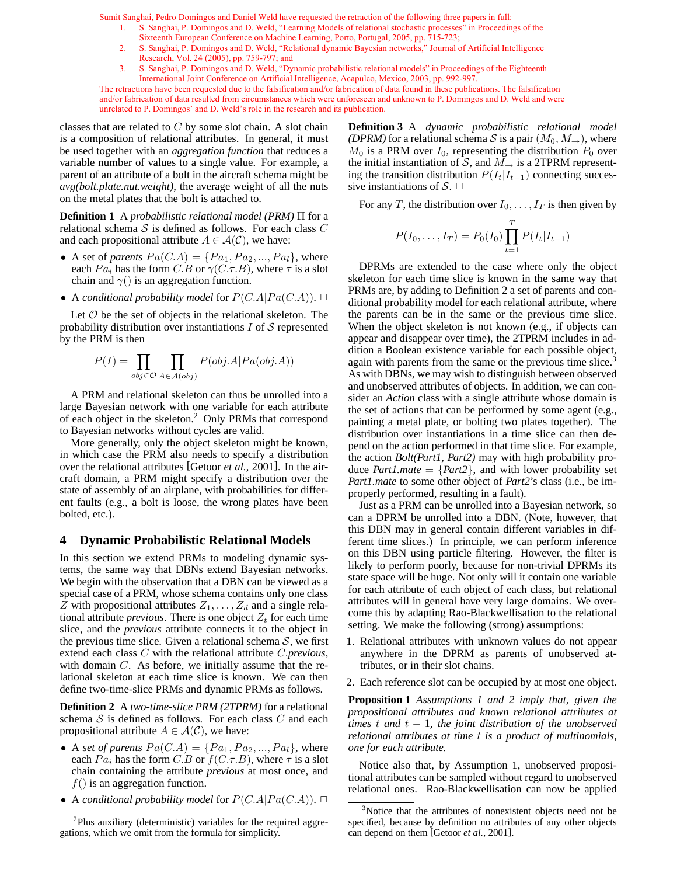- 1. S. Sanghai, P. Domingos and D. Weld, "Learning Models of relational stochastic processes" in Proceedings of the Sixteenth European Conference on Machine Learning, Porto, Portugal, 2005, pp. 715-723;
- 2. S. Sanghai, P. Domingos and D. Weld, "Relational dynamic Bayesian networks," Journal of Artificial Intelligence Research, Vol. 24 (2005), pp. 759-797; and
- 3. S. Sanghai, P. Domingos and D. Weld, "Dynamic probabilistic relational models" in Proceedings of the Eighteenth International Joint Conference on Artificial Intelligence, Acapulco, Mexico, 2003, pp. 992-997.

The retractions have been requested due to the falsification and/or fabrication of data found in these publications. The falsification and/or fabrication of data resulted from circumstances which were unforeseen and unknown to P. Domingos and D. Weld and were unrelated to P. Domingos' and D. Weld's role in the research and its publication.

classes that are related to  $C$  by some slot chain. A slot chain is a composition of relational attributes. In general, it must be used together with an *aggregation function* that reduces a variable number of values to a single value. For example, a parent of an attribute of a bolt in the aircraft schema might be *avg(bolt.plate.nut.weight)*, the average weight of all the nuts on the metal plates that the bolt is attached to.

**Definition 1** A *probabilistic relational model (PRM)* Π for a relational schema  $S$  is defined as follows. For each class  $C$ and each propositional attribute  $A \in \mathcal{A}(\mathcal{C})$ , we have:

- A set of *parents*  $Pa(C.A) = \{Pa_1, Pa_2, ..., Pa_l\}$ , where each  $Pa_i$  has the form  $C.B$  or  $\gamma(C.\tau.B)$ , where  $\tau$  is a slot chain and  $\gamma$ () is an aggregation function.
- A *conditional probability model* for  $P(C.A|Pa(C.A))$ .  $\Box$

Let  $O$  be the set of objects in the relational skeleton. The probability distribution over instantiations  $I$  of  $S$  represented by the PRM is then

$$
P(I) = \prod_{obj \in \mathcal{O}} \prod_{A \in \mathcal{A}(obj)} P(obj.A | Pa(obj.A))
$$

A PRM and relational skeleton can thus be unrolled into a large Bayesian network with one variable for each attribute of each object in the skeleton.<sup>2</sup> Only PRMs that correspond to Bayesian networks without cycles are valid.

More generally, only the object skeleton might be known, in which case the PRM also needs to specify a distribution over the relational attributes [Getoor *et al.*, 2001]. In the aircraft domain, a PRM might specify a distribution over the state of assembly of an airplane, with probabilities for different faults (e.g., a bolt is loose, the wrong plates have been bolted, etc.).

#### **4 Dynamic Probabilistic Relational Models**

In this section we extend PRMs to modeling dynamic systems, the same way that DBNs extend Bayesian networks. We begin with the observation that a DBN can be viewed as a special case of a PRM, whose schema contains only one class Z with propositional attributes  $Z_1, \ldots, Z_d$  and a single relational attribute *previous*. There is one object  $Z_t$  for each time slice, and the *previous* attribute connects it to the object in the previous time slice. Given a relational schema  $S$ , we first extend each class C with the relational attribute C.*previous*, with domain C. As before, we initially assume that the relational skeleton at each time slice is known. We can then define two-time-slice PRMs and dynamic PRMs as follows.

**Definition 2** A *two-time-slice PRM (2TPRM)* for a relational schema  $S$  is defined as follows. For each class  $C$  and each propositional attribute  $A \in \mathcal{A}(\mathcal{C})$ , we have:

- A *set of parents*  $Pa(C.A) = \{Pa_1, Pa_2, ..., Pa_l\}$ , where each  $Pa_i$  has the form  $C.B$  or  $f(C.\tau.B)$ , where  $\tau$  is a slot chain containing the attribute *previous* at most once, and  $f()$  is an aggregation function.
- A *conditional probability model* for  $P(C.A|Pa(C.A))$ .  $\Box$

**Definition 3** A *dynamic probabilistic relational model (DPRM)* for a relational schema S is a pair  $(M_0, M_+)$ , where  $M_0$  is a PRM over  $I_0$ , representing the distribution  $P_0$  over the initial instantiation of S, and  $M_{\rightarrow}$  is a 2TPRM representing the transition distribution  $P(I_t|I_{t-1})$  connecting successive instantiations of  $S$ .  $\Box$ 

For any T, the distribution over  $I_0, \ldots, I_T$  is then given by

$$
P(I_0, ..., I_T) = P_0(I_0) \prod_{t=1}^{T} P(I_t | I_{t-1})
$$

DPRMs are extended to the case where only the object skeleton for each time slice is known in the same way that PRMs are, by adding to Definition 2 a set of parents and conditional probability model for each relational attribute, where the parents can be in the same or the previous time slice. When the object skeleton is not known (e.g., if objects can appear and disappear over time), the 2TPRM includes in addition a Boolean existence variable for each possible object, again with parents from the same or the previous time slice.<sup>3</sup> As with DBNs, we may wish to distinguish between observed and unobserved attributes of objects. In addition, we can consider an *Action* class with a single attribute whose domain is the set of actions that can be performed by some agent (e.g., painting a metal plate, or bolting two plates together). The distribution over instantiations in a time slice can then depend on the action performed in that time slice. For example, the action *Bolt(Part1, Part2)* may with high probability produce *Part1.mate* =  $\{Part2\}$ , and with lower probability set *Part1.mate* to some other object of *Part2*'s class (i.e., be improperly performed, resulting in a fault).

Just as a PRM can be unrolled into a Bayesian network, so can a DPRM be unrolled into a DBN. (Note, however, that this DBN may in general contain different variables in different time slices.) In principle, we can perform inference on this DBN using particle filtering. However, the filter is likely to perform poorly, because for non-trivial DPRMs its state space will be huge. Not only will it contain one variable for each attribute of each object of each class, but relational attributes will in general have very large domains. We overcome this by adapting Rao-Blackwellisation to the relational setting. We make the following (strong) assumptions:

- 1. Relational attributes with unknown values do not appear anywhere in the DPRM as parents of unobserved attributes, or in their slot chains.
- 2. Each reference slot can be occupied by at most one object.

**Proposition 1** *Assumptions 1 and 2 imply that, given the propositional attributes and known relational attributes at times* t *and* t − 1*, the joint distribution of the unobserved relational attributes at time* t *is a product of multinomials, one for each attribute.*

Notice also that, by Assumption 1, unobserved propositional attributes can be sampled without regard to unobserved relational ones. Rao-Blackwellisation can now be applied

<sup>&</sup>lt;sup>2</sup>Plus auxiliary (deterministic) variables for the required aggregations, which we omit from the formula for simplicity.

<sup>&</sup>lt;sup>3</sup>Notice that the attributes of nonexistent objects need not be specified, because by definition no attributes of any other objects can depend on them [Getoor *et al.*, 2001].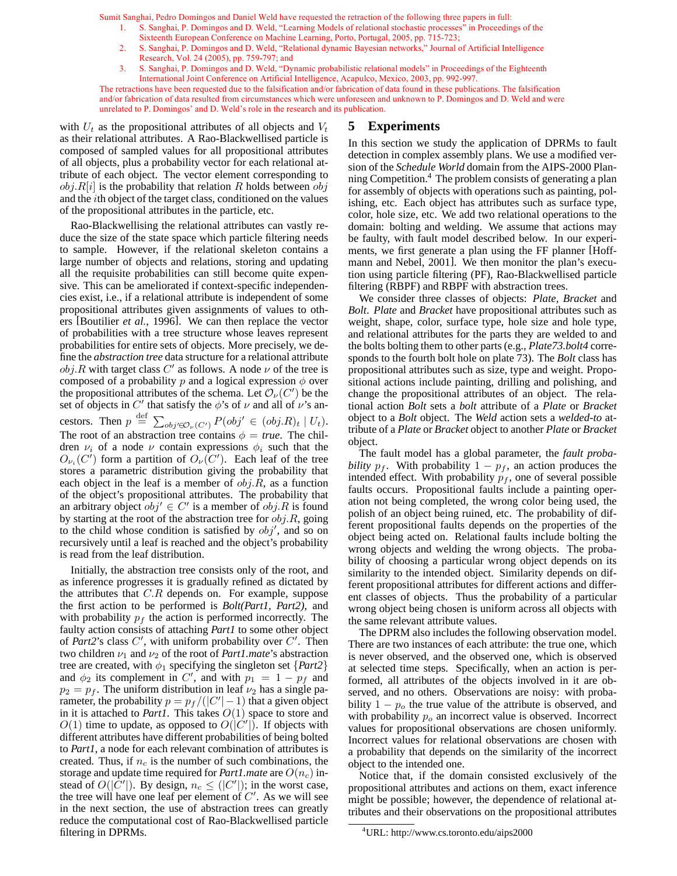- 1. S. Sanghai, P. Domingos and D. Weld, "Learning Models of relational stochastic processes" in Proceedings of the Sixteenth European Conference on Machine Learning, Porto, Portugal, 2005, pp. 715-723;
- 2. S. Sanghai, P. Domingos and D. Weld, "Relational dynamic Bayesian networks," Journal of Artificial Intelligence Research, Vol. 24 (2005), pp. 759-797; and
- 3. S. Sanghai, P. Domingos and D. Weld, "Dynamic probabilistic relational models" in Proceedings of the Eighteenth International Joint Conference on Artificial Intelligence, Acapulco, Mexico, 2003, pp. 992-997.

The retractions have been requested due to the falsification and/or fabrication of data found in these publications. The falsification and/or fabrication of data resulted from circumstances which were unforeseen and unknown to P. Domingos and D. Weld and were unrelated to P. Domingos' and D. Weld's role in the research and its publication.

with  $U_t$  as the propositional attributes of all objects and  $V_t$ as their relational attributes. A Rao-Blackwellised particle is composed of sampled values for all propositional attributes of all objects, plus a probability vector for each relational attribute of each object. The vector element corresponding to  $obj.R[i]$  is the probability that relation R holds between  $obj$ and the ith object of the target class, conditioned on the values of the propositional attributes in the particle, etc.

Rao-Blackwellising the relational attributes can vastly reduce the size of the state space which particle filtering needs to sample. However, if the relational skeleton contains a large number of objects and relations, storing and updating all the requisite probabilities can still become quite expensive. This can be ameliorated if context-specific independencies exist, i.e., if a relational attribute is independent of some propositional attributes given assignments of values to others [Boutilier *et al.*, 1996]. We can then replace the vector of probabilities with a tree structure whose leaves represent probabilities for entire sets of objects. More precisely, we define the *abstraction tree* data structure for a relational attribute  $obj.R$  with target class  $C'$  as follows. A node  $\nu$  of the tree is composed of a probability p and a logical expression  $\phi$  over the propositional attributes of the schema. Let  $\mathcal{O}_{\nu}(C')$  be the set of objects in C' that satisfy the  $\phi$ 's of  $\nu$  and all of  $\nu$ 's ancestors. Then  $p \stackrel{\text{def}}{=} \sum_{obj' \in \mathcal{O}_\nu(C')} P(obj' \in (obj.R)_t | U_t)$ . The root of an abstraction tree contains  $\phi = true$ . The children  $\nu_i$  of a node  $\nu$  contain expressions  $\phi_i$  such that the  $O_{\nu_i}(C')$  form a partition of  $O_{\nu}(C')$ . Each leaf of the tree stores a parametric distribution giving the probability that each object in the leaf is a member of  $obj.R$ , as a function of the object's propositional attributes. The probability that an arbitrary object  $obj' \in C'$  is a member of  $obj.R$  is found by starting at the root of the abstraction tree for  $obj.R$ , going to the child whose condition is satisfied by  $obj'$ , and so on recursively until a leaf is reached and the object's probability is read from the leaf distribution.

Initially, the abstraction tree consists only of the root, and as inference progresses it is gradually refined as dictated by the attributes that  $C.R$  depends on. For example, suppose the first action to be performed is *Bolt(Part1, Part2)*, and with probability  $p_f$  the action is performed incorrectly. The faulty action consists of attaching *Part1* to some other object of *Part2*'s class  $C'$ , with uniform probability over  $C'$ . Then two children  $\nu_1$  and  $\nu_2$  of the root of *Part1.mate*'s abstraction tree are created, with  $\phi_1$  specifying the singleton set  $\{Part2\}$ and  $\phi_2$  its complement in C', and with  $p_1 = 1 - p_f$  and  $p_2 = p_f$ . The uniform distribution in leaf  $\nu_2$  has a single parameter, the probability  $p = p_f/(|C'|-1)$  that a given object in it is attached to *Part1*. This takes  $O(1)$  space to store and  $O(1)$  time to update, as opposed to  $O(|C'|)$ . If objects with different attributes have different probabilities of being bolted to *Part1*, a node for each relevant combination of attributes is created. Thus, if  $n_c$  is the number of such combinations, the storage and update time required for *Part1.mate* are  $O(n_c)$  instead of  $O(|\tilde{C}'|)$ . By design,  $n_c \leq (|C'|)$ ; in the worst case, the tree will have one leaf per element of  $C'$ . As we will see in the next section, the use of abstraction trees can greatly reduce the computational cost of Rao-Blackwellised particle filtering in DPRMs.

## **5 Experiments**

In this section we study the application of DPRMs to fault detection in complex assembly plans. We use a modified version of the *Schedule World* domain from the AIPS-2000 Planning Competition.<sup>4</sup> The problem consists of generating a plan for assembly of objects with operations such as painting, polishing, etc. Each object has attributes such as surface type, color, hole size, etc. We add two relational operations to the domain: bolting and welding. We assume that actions may be faulty, with fault model described below. In our experiments, we first generate a plan using the FF planner [Hoffmann and Nebel, 2001]. We then monitor the plan's execution using particle filtering (PF), Rao-Blackwellised particle filtering (RBPF) and RBPF with abstraction trees.

We consider three classes of objects: *Plate*, *Bracket* and *Bolt*. *Plate* and *Bracket* have propositional attributes such as weight, shape, color, surface type, hole size and hole type, and relational attributes for the parts they are welded to and the bolts bolting them to other parts (e.g., *Plate73.bolt4* corresponds to the fourth bolt hole on plate 73). The *Bolt* class has propositional attributes such as size, type and weight. Propositional actions include painting, drilling and polishing, and change the propositional attributes of an object. The relational action *Bolt* sets a *bolt* attribute of a *Plate* or *Bracket* object to a *Bolt* object. The *Weld* action sets a *welded-to* attribute of a *Plate* or *Bracket* object to another *Plate* or *Bracket* object.

The fault model has a global parameter, the *fault probability*  $p_f$ . With probability  $1 - p_f$ , an action produces the intended effect. With probability  $p_f$ , one of several possible faults occurs. Propositional faults include a painting operation not being completed, the wrong color being used, the polish of an object being ruined, etc. The probability of different propositional faults depends on the properties of the object being acted on. Relational faults include bolting the wrong objects and welding the wrong objects. The probability of choosing a particular wrong object depends on its similarity to the intended object. Similarity depends on different propositional attributes for different actions and different classes of objects. Thus the probability of a particular wrong object being chosen is uniform across all objects with the same relevant attribute values.

The DPRM also includes the following observation model. There are two instances of each attribute: the true one, which is never observed, and the observed one, which is observed at selected time steps. Specifically, when an action is performed, all attributes of the objects involved in it are observed, and no others. Observations are noisy: with probability  $1 - p<sub>o</sub>$  the true value of the attribute is observed, and with probability  $p<sub>o</sub>$  an incorrect value is observed. Incorrect values for propositional observations are chosen uniformly. Incorrect values for relational observations are chosen with a probability that depends on the similarity of the incorrect object to the intended one.

Notice that, if the domain consisted exclusively of the propositional attributes and actions on them, exact inference might be possible; however, the dependence of relational attributes and their observations on the propositional attributes

<sup>4</sup>URL: http://www.cs.toronto.edu/aips2000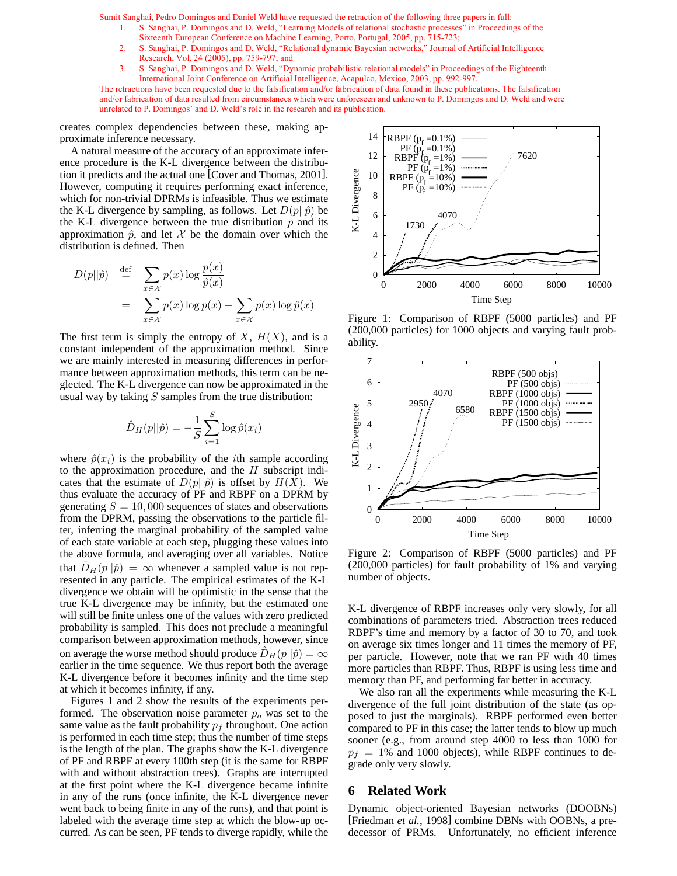- 1. S. Sanghai, P. Domingos and D. Weld, "Learning Models of relational stochastic processes" in Proceedings of the Sixteenth European Conference on Machine Learning, Porto, Portugal, 2005, pp. 715-723;
- 2. S. Sanghai, P. Domingos and D. Weld, "Relational dynamic Bayesian networks," Journal of Artificial Intelligence Research, Vol. 24 (2005), pp. 759-797; and
- 3. S. Sanghai, P. Domingos and D. Weld, "Dynamic probabilistic relational models" in Proceedings of the Eighteenth International Joint Conference on Artificial Intelligence, Acapulco, Mexico, 2003, pp. 992-997.

The retractions have been requested due to the falsification and/or fabrication of data found in these publications. The falsification and/or fabrication of data resulted from circumstances which were unforeseen and unknown to P. Domingos and D. Weld and were unrelated to P. Domingos' and D. Weld's role in the research and its publication.

creates complex dependencies between these, making approximate inference necessary.

A natural measure of the accuracy of an approximate inference procedure is the K-L divergence between the distribution it predicts and the actual one [Cover and Thomas, 2001]. However, computing it requires performing exact inference, which for non-trivial DPRMs is infeasible. Thus we estimate the K-L divergence by sampling, as follows. Let  $D(p||\hat{p})$  be the K-L divergence between the true distribution  $p$  and its approximation  $\hat{p}$ , and let X be the domain over which the distribution is defined. Then

$$
D(p||\hat{p}) \stackrel{\text{def}}{=} \sum_{x \in \mathcal{X}} p(x) \log \frac{p(x)}{\hat{p}(x)}
$$
  

$$
= \sum_{x \in \mathcal{X}} p(x) \log p(x) - \sum_{x \in \mathcal{X}} p(x) \log \hat{p}(x)
$$

The first term is simply the entropy of  $X$ ,  $H(X)$ , and is a constant independent of the approximation method. Since we are mainly interested in measuring differences in performance between approximation methods, this term can be neglected. The K-L divergence can now be approximated in the usual way by taking  $S$  samples from the true distribution:

$$
\hat{D}_H(p||\hat{p}) = -\frac{1}{S} \sum_{i=1}^{S} \log \hat{p}(x_i)
$$

where  $\hat{p}(x_i)$  is the probability of the *i*th sample according to the approximation procedure, and the  $H$  subscript indicates that the estimate of  $D(p||\hat{p})$  is offset by  $H(X)$ . We thus evaluate the accuracy of PF and RBPF on a DPRM by generating  $S = 10,000$  sequences of states and observations from the DPRM, passing the observations to the particle filter, inferring the marginal probability of the sampled value of each state variable at each step, plugging these values into the above formula, and averaging over all variables. Notice that  $D_H(p||\hat{p}) = \infty$  whenever a sampled value is not represented in any particle. The empirical estimates of the K-L divergence we obtain will be optimistic in the sense that the true K-L divergence may be infinity, but the estimated one will still be finite unless one of the values with zero predicted probability is sampled. This does not preclude a meaningful comparison between approximation methods, however, since on average the worse method should produce  $D_H(p||\hat{p}) = \infty$ earlier in the time sequence. We thus report both the average K-L divergence before it becomes infinity and the time step at which it becomes infinity, if any.

Figures 1 and 2 show the results of the experiments performed. The observation noise parameter  $p<sub>o</sub>$  was set to the same value as the fault probability  $p_f$  throughout. One action is performed in each time step; thus the number of time steps is the length of the plan. The graphs show the K-L divergence of PF and RBPF at every 100th step (it is the same for RBPF with and without abstraction trees). Graphs are interrupted at the first point where the K-L divergence became infinite in any of the runs (once infinite, the K-L divergence never went back to being finite in any of the runs), and that point is labeled with the average time step at which the blow-up occurred. As can be seen, PF tends to diverge rapidly, while the



Figure 1: Comparison of RBPF (5000 particles) and PF (200,000 particles) for 1000 objects and varying fault probability.



Figure 2: Comparison of RBPF (5000 particles) and PF (200,000 particles) for fault probability of 1% and varying number of objects.

K-L divergence of RBPF increases only very slowly, for all combinations of parameters tried. Abstraction trees reduced RBPF's time and memory by a factor of 30 to 70, and took on average six times longer and 11 times the memory of PF, per particle. However, note that we ran PF with 40 times more particles than RBPF. Thus, RBPF is using less time and memory than PF, and performing far better in accuracy.

We also ran all the experiments while measuring the K-L divergence of the full joint distribution of the state (as opposed to just the marginals). RBPF performed even better compared to PF in this case; the latter tends to blow up much sooner (e.g., from around step 4000 to less than 1000 for  $p_f = 1\%$  and 1000 objects), while RBPF continues to degrade only very slowly.

### **6 Related Work**

Dynamic object-oriented Bayesian networks (DOOBNs) [Friedman *et al.*, 1998] combine DBNs with OOBNs, a predecessor of PRMs. Unfortunately, no efficient inference